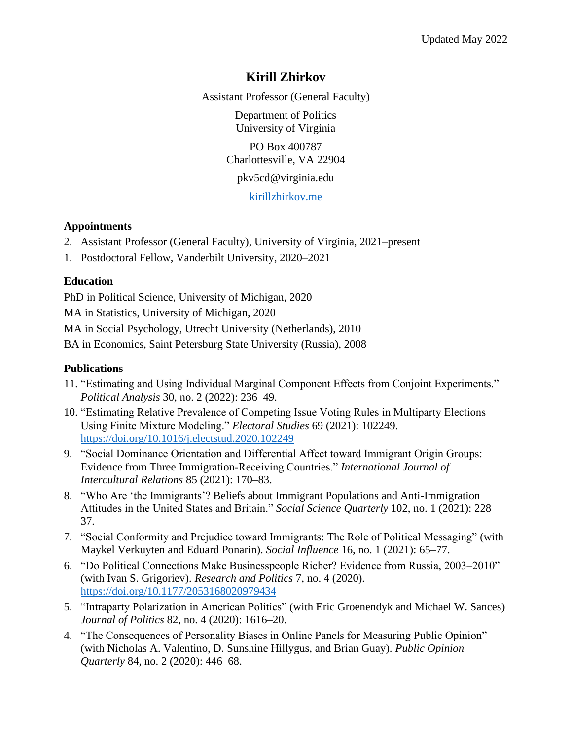# **Kirill Zhirkov**

Assistant Professor (General Faculty)

Department of Politics University of Virginia

PO Box 400787 Charlottesville, VA 22904

pkv5cd@virginia.edu

[kirillzhirkov.me](https://kirillzhirkov.me/)

### **Appointments**

- 2. Assistant Professor (General Faculty), University of Virginia, 2021–present
- 1. Postdoctoral Fellow, Vanderbilt University, 2020–2021

### **Education**

PhD in Political Science, University of Michigan, 2020

MA in Statistics, University of Michigan, 2020

MA in Social Psychology, Utrecht University (Netherlands), 2010

BA in Economics, Saint Petersburg State University (Russia), 2008

### **Publications**

- 11. "Estimating and Using Individual Marginal Component Effects from Conjoint Experiments." *Political Analysis* 30, no. 2 (2022): 236–49.
- 10. "Estimating Relative Prevalence of Competing Issue Voting Rules in Multiparty Elections Using Finite Mixture Modeling." *Electoral Studies* 69 (2021): 102249. <https://doi.org/10.1016/j.electstud.2020.102249>
- 9. "Social Dominance Orientation and Differential Affect toward Immigrant Origin Groups: Evidence from Three Immigration-Receiving Countries." *International Journal of Intercultural Relations* 85 (2021): 170–83.
- 8. "Who Are 'the Immigrants'? Beliefs about Immigrant Populations and Anti-Immigration Attitudes in the United States and Britain." *Social Science Quarterly* 102, no. 1 (2021): 228– 37.
- 7. "Social Conformity and Prejudice toward Immigrants: The Role of Political Messaging" (with Maykel Verkuyten and Eduard Ponarin). *Social Influence* 16, no. 1 (2021): 65–77.
- 6. "Do Political Connections Make Businesspeople Richer? Evidence from Russia, 2003–2010" (with Ivan S. Grigoriev). *Research and Politics* 7, no. 4 (2020). <https://doi.org/10.1177/2053168020979434>
- 5. "Intraparty Polarization in American Politics" (with Eric Groenendyk and Michael W. Sances) *Journal of Politics* 82, no. 4 (2020): 1616–20.
- 4. "The Consequences of Personality Biases in Online Panels for Measuring Public Opinion" (with Nicholas A. Valentino, D. Sunshine Hillygus, and Brian Guay). *Public Opinion Quarterly* 84, no. 2 (2020): 446–68.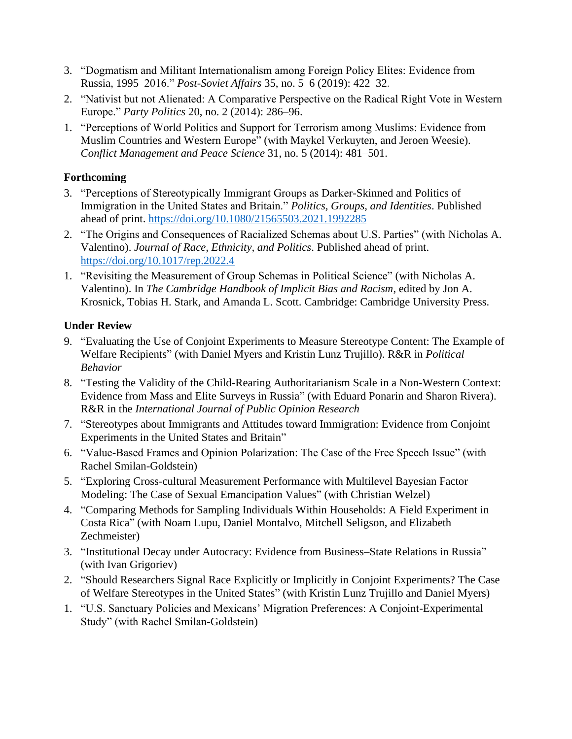- 3. "Dogmatism and Militant Internationalism among Foreign Policy Elites: Evidence from Russia, 1995–2016." *Post-Soviet Affairs* 35, no. 5–6 (2019): 422–32.
- 2. "Nativist but not Alienated: A Comparative Perspective on the Radical Right Vote in Western Europe." *Party Politics* 20, no. 2 (2014): 286–96.
- 1. "Perceptions of World Politics and Support for Terrorism among Muslims: Evidence from Muslim Countries and Western Europe" (with Maykel Verkuyten, and Jeroen Weesie). *Conflict Management and Peace Science* 31, no. 5 (2014): 481–501.

### **Forthcoming**

- 3. "Perceptions of Stereotypically Immigrant Groups as Darker-Skinned and Politics of Immigration in the United States and Britain." *Politics, Groups, and Identities*. Published ahead of print.<https://doi.org/10.1080/21565503.2021.1992285>
- 2. "The Origins and Consequences of Racialized Schemas about U.S. Parties" (with Nicholas A. Valentino). *Journal of Race, Ethnicity, and Politics*. Published ahead of print. <https://doi.org/10.1017/rep.2022.4>
- 1. "Revisiting the Measurement of Group Schemas in Political Science" (with Nicholas A. Valentino). In *The Cambridge Handbook of Implicit Bias and Racism*, edited by Jon A. Krosnick, Tobias H. Stark, and Amanda L. Scott. Cambridge: Cambridge University Press.

### **Under Review**

- 9. "Evaluating the Use of Conjoint Experiments to Measure Stereotype Content: The Example of Welfare Recipients" (with Daniel Myers and Kristin Lunz Trujillo). R&R in *Political Behavior*
- 8. "Testing the Validity of the Child-Rearing Authoritarianism Scale in a Non-Western Context: Evidence from Mass and Elite Surveys in Russia" (with Eduard Ponarin and Sharon Rivera). R&R in the *International Journal of Public Opinion Research*
- 7. "Stereotypes about Immigrants and Attitudes toward Immigration: Evidence from Conjoint Experiments in the United States and Britain"
- 6. "Value-Based Frames and Opinion Polarization: The Case of the Free Speech Issue" (with Rachel Smilan-Goldstein)
- 5. "Exploring Cross-cultural Measurement Performance with Multilevel Bayesian Factor Modeling: The Case of Sexual Emancipation Values" (with Christian Welzel)
- 4. "Comparing Methods for Sampling Individuals Within Households: A Field Experiment in Costa Rica" (with Noam Lupu, Daniel Montalvo, Mitchell Seligson, and Elizabeth Zechmeister)
- 3. "Institutional Decay under Autocracy: Evidence from Business–State Relations in Russia" (with Ivan Grigoriev)
- 2. "Should Researchers Signal Race Explicitly or Implicitly in Conjoint Experiments? The Case of Welfare Stereotypes in the United States" (with Kristin Lunz Trujillo and Daniel Myers)
- 1. "U.S. Sanctuary Policies and Mexicans' Migration Preferences: A Conjoint-Experimental Study" (with Rachel Smilan-Goldstein)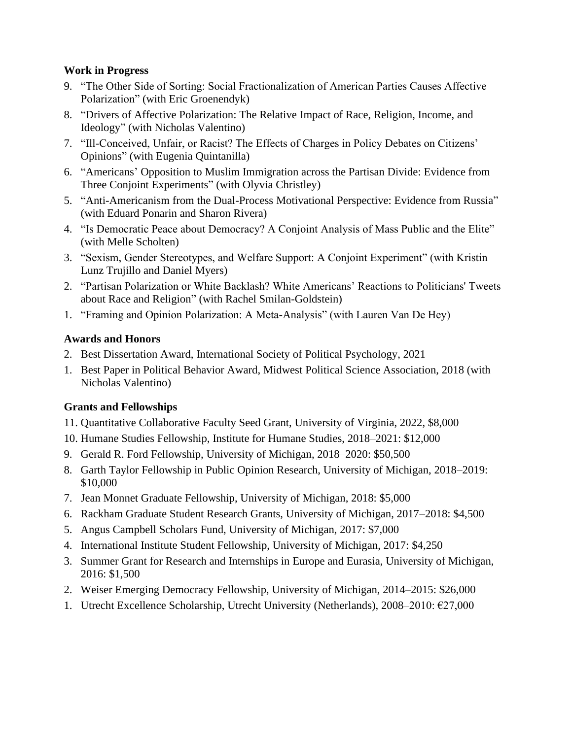### **Work in Progress**

- 9. "The Other Side of Sorting: Social Fractionalization of American Parties Causes Affective Polarization" (with Eric Groenendyk)
- 8. "Drivers of Affective Polarization: The Relative Impact of Race, Religion, Income, and Ideology" (with Nicholas Valentino)
- 7. "Ill-Conceived, Unfair, or Racist? The Effects of Charges in Policy Debates on Citizens' Opinions" (with Eugenia Quintanilla)
- 6. "Americans' Opposition to Muslim Immigration across the Partisan Divide: Evidence from Three Conjoint Experiments" (with Olyvia Christley)
- 5. "Anti-Americanism from the Dual-Process Motivational Perspective: Evidence from Russia" (with Eduard Ponarin and Sharon Rivera)
- 4. "Is Democratic Peace about Democracy? A Conjoint Analysis of Mass Public and the Elite" (with Melle Scholten)
- 3. "Sexism, Gender Stereotypes, and Welfare Support: A Conjoint Experiment" (with Kristin Lunz Trujillo and Daniel Myers)
- 2. "Partisan Polarization or White Backlash? White Americans' Reactions to Politicians' Tweets about Race and Religion" (with Rachel Smilan-Goldstein)
- 1. "Framing and Opinion Polarization: A Meta-Analysis" (with Lauren Van De Hey)

### **Awards and Honors**

- 2. Best Dissertation Award, International Society of Political Psychology, 2021
- 1. Best Paper in Political Behavior Award, Midwest Political Science Association, 2018 (with Nicholas Valentino)

## **Grants and Fellowships**

- 11. Quantitative Collaborative Faculty Seed Grant, University of Virginia, 2022, \$8,000
- 10. Humane Studies Fellowship, Institute for Humane Studies, 2018–2021: \$12,000
- 9. Gerald R. Ford Fellowship, University of Michigan, 2018–2020: \$50,500
- 8. Garth Taylor Fellowship in Public Opinion Research, University of Michigan, 2018–2019: \$10,000
- 7. Jean Monnet Graduate Fellowship, University of Michigan, 2018: \$5,000
- 6. Rackham Graduate Student Research Grants, University of Michigan, 2017–2018: \$4,500
- 5. Angus Campbell Scholars Fund, University of Michigan, 2017: \$7,000
- 4. International Institute Student Fellowship, University of Michigan, 2017: \$4,250
- 3. Summer Grant for Research and Internships in Europe and Eurasia, University of Michigan, 2016: \$1,500
- 2. Weiser Emerging Democracy Fellowship, University of Michigan, 2014–2015: \$26,000
- 1. Utrecht Excellence Scholarship, Utrecht University (Netherlands), 2008–2010: €27,000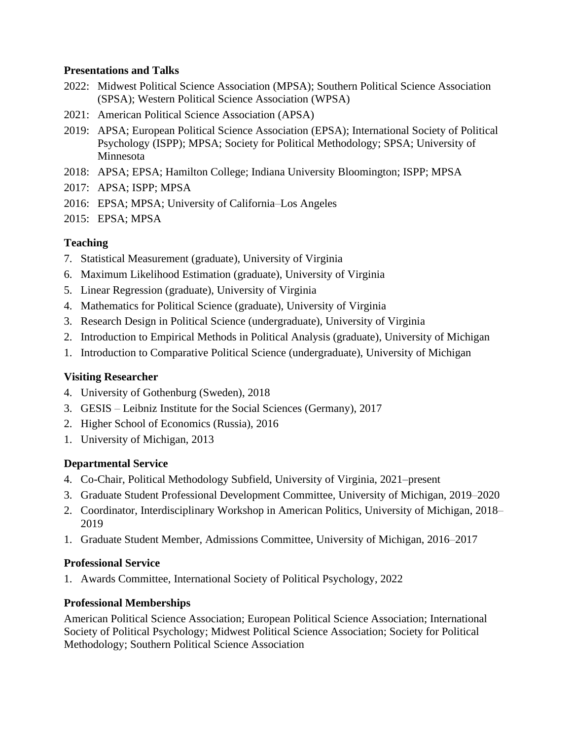#### **Presentations and Talks**

- 2022: Midwest Political Science Association (MPSA); Southern Political Science Association (SPSA); Western Political Science Association (WPSA)
- 2021: American Political Science Association (APSA)
- 2019: APSA; European Political Science Association (EPSA); International Society of Political Psychology (ISPP); MPSA; Society for Political Methodology; SPSA; University of Minnesota
- 2018: APSA; EPSA; Hamilton College; Indiana University Bloomington; ISPP; MPSA
- 2017: APSA; ISPP; MPSA
- 2016: EPSA; MPSA; University of California–Los Angeles
- 2015: EPSA; MPSA

### **Teaching**

- 7. Statistical Measurement (graduate), University of Virginia
- 6. Maximum Likelihood Estimation (graduate), University of Virginia
- 5. Linear Regression (graduate), University of Virginia
- 4. Mathematics for Political Science (graduate), University of Virginia
- 3. Research Design in Political Science (undergraduate), University of Virginia
- 2. Introduction to Empirical Methods in Political Analysis (graduate), University of Michigan
- 1. Introduction to Comparative Political Science (undergraduate), University of Michigan

### **Visiting Researcher**

- 4. University of Gothenburg (Sweden), 2018
- 3. GESIS Leibniz Institute for the Social Sciences (Germany), 2017
- 2. Higher School of Economics (Russia), 2016
- 1. University of Michigan, 2013

### **Departmental Service**

- 4. Co-Chair, Political Methodology Subfield, University of Virginia, 2021–present
- 3. Graduate Student Professional Development Committee, University of Michigan, 2019–2020
- 2. Coordinator, Interdisciplinary Workshop in American Politics, University of Michigan, 2018– 2019
- 1. Graduate Student Member, Admissions Committee, University of Michigan, 2016–2017

### **Professional Service**

1. Awards Committee, International Society of Political Psychology, 2022

### **Professional Memberships**

American Political Science Association; European Political Science Association; International Society of Political Psychology; Midwest Political Science Association; Society for Political Methodology; Southern Political Science Association